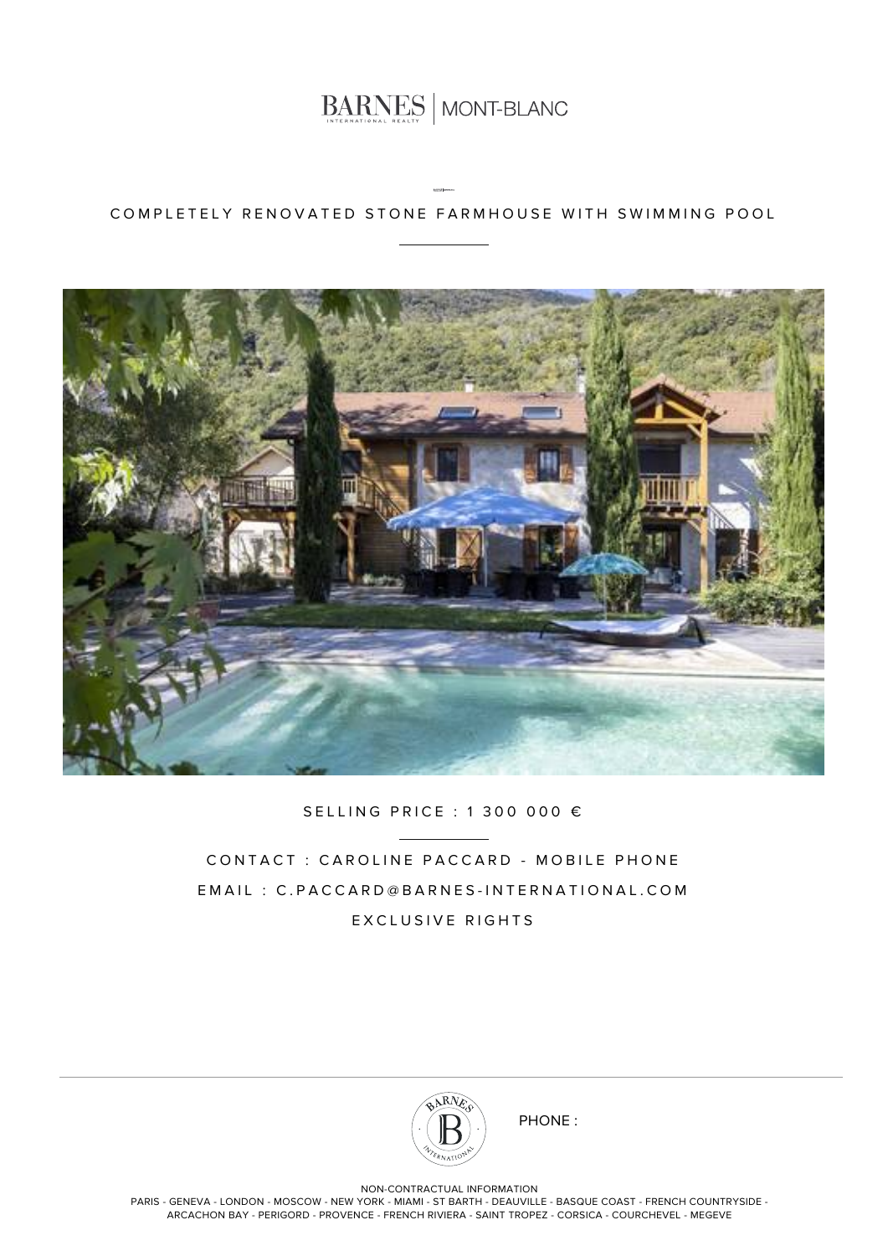

### COMPLETELY RENOVATED STONE FARMHOUSE WITH SWIMMING POOL



#### SELLING PRICE : 1 300 000 €

CONTACT : CAROLINE PACCARD - MOBILE PHONE EMAIL : C.PACCARD@BARNES-INTERNATIONAL.COM EXCLUSIVE RIGHTS



PHONE :

NON-CONTRACTUAL INFORMATION

PARIS - GENEVA - LONDON - MOSCOW - NEW YORK - MIAMI - ST BARTH - DEAUVILLE - BASQUE COAST - FRENCH COUNTRYSIDE - ARCACHON BAY - PERIGORD - PROVENCE - FRENCH RIVIERA - SAINT TROPEZ - CORSICA - COURCHEVEL - MEGEVE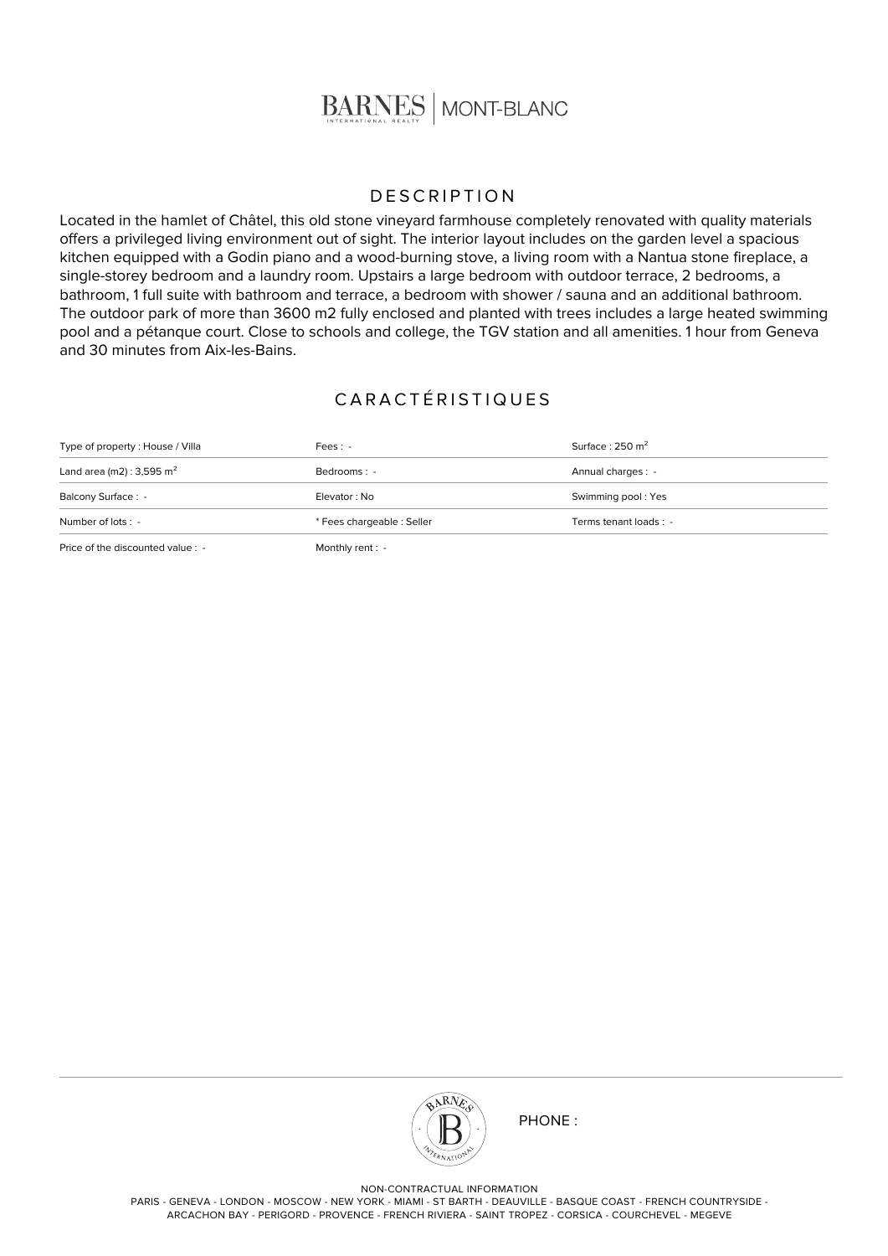

#### **DESCRIPTION**

Located in the hamlet of Châtel, this old stone vineyard farmhouse completely renovated with quality materials offers a privileged living environment out of sight. The interior layout includes on the garden level a spacious kitchen equipped with a Godin piano and a wood-burning stove, a living room with a Nantua stone fireplace, a single-storey bedroom and a laundry room. Upstairs a large bedroom with outdoor terrace, 2 bedrooms, a bathroom, 1 full suite with bathroom and terrace, a bedroom with shower / sauna and an additional bathroom. The outdoor park of more than 3600 m2 fully enclosed and planted with trees includes a large heated swimming pool and a pétanque court. Close to schools and college, the TGV station and all amenities. 1 hour from Geneva and 30 minutes from Aix-les-Bains.

## CARACTÉRISTIQUES

| $\mathbb{R}^n$ . $\mathbb{R}^n$ . The same state of $\mathbb{R}^n$ is the same state of $\mathbb{R}^n$ |                            |                            |
|--------------------------------------------------------------------------------------------------------|----------------------------|----------------------------|
| Number of lots : -                                                                                     | * Fees chargeable : Seller | Terms tenant loads : -     |
| Balcony Surface: -                                                                                     | Elevator: No               | Swimming pool: Yes         |
| Land area (m2) : 3,595 m <sup>2</sup>                                                                  | Bedrooms: -                | Annual charges : -         |
| Type of property: House / Villa                                                                        | $Fees: -$                  | Surface: $250 \text{ m}^2$ |

Price of the discounted value : - Monthly rent : -



PHONE :

NON-CONTRACTUAL INFORMATION

PARIS - GENEVA - LONDON - MOSCOW - NEW YORK - MIAMI - ST BARTH - DEAUVILLE - BASQUE COAST - FRENCH COUNTRYSIDE - ARCACHON BAY - PERIGORD - PROVENCE - FRENCH RIVIERA - SAINT TROPEZ - CORSICA - COURCHEVEL - MEGEVE